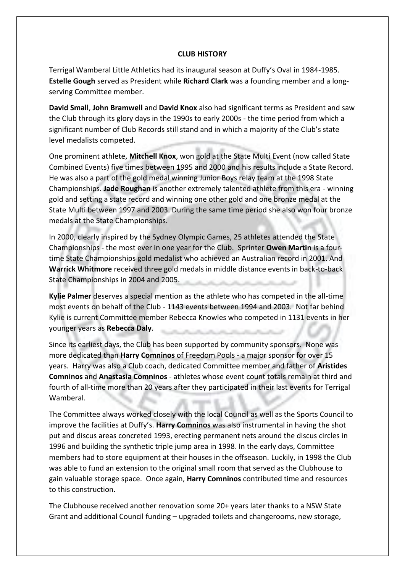## **CLUB HISTORY**

Terrigal Wamberal Little Athletics had its inaugural season at Duffy's Oval in 1984-1985. **Estelle Gough** served as President while **Richard Clark** was a founding member and a longserving Committee member.

**David Small**, **John Bramwell** and **David Knox** also had significant terms as President and saw the Club through its glory days in the 1990s to early 2000s - the time period from which a significant number of Club Records still stand and in which a majority of the Club's state level medalists competed.

One prominent athlete, **Mitchell Knox**, won gold at the State Multi Event (now called State Combined Events) five times between 1995 and 2000 and his results include a State Record. He was also a part of the gold medal winning Junior Boys relay team at the 1998 State Championships. **Jade Roughan** is another extremely talented athlete from this era - winning gold and setting a state record and winning one other gold and one bronze medal at the State Multi between 1997 and 2003. During the same time period she also won four bronze medals at the State Championships.

In 2000, clearly inspired by the Sydney Olympic Games, 25 athletes attended the State Championships - the most ever in one year for the Club. Sprinter **Owen Martin** is a fourtime State Championships gold medalist who achieved an Australian record in 2001. And **Warrick Whitmore** received three gold medals in middle distance events in back-to-back State Championships in 2004 and 2005.

**Kylie Palmer** deserves a special mention as the athlete who has competed in the all-time most events on behalf of the Club - 1143 events between 1994 and 2003. Not far behind Kylie is current Committee member Rebecca Knowles who competed in 1131 events in her younger years as **Rebecca Daly**.

Since its earliest days, the Club has been supported by community sponsors. None was more dedicated than **Harry Comninos** of Freedom Pools - a major sponsor for over 15 years. Harry was also a Club coach, dedicated Committee member and father of **Aristides Comninos** and **Anastasia Comninos** - athletes whose event count totals remain at third and fourth of all-time more than 20 years after they participated in their last events for Terrigal Wamberal.

The Committee always worked closely with the local Council as well as the Sports Council to improve the facilities at Duffy's. **Harry Comninos** was also instrumental in having the shot put and discus areas concreted 1993, erecting permanent nets around the discus circles in 1996 and building the synthetic triple jump area in 1998. In the early days, Committee members had to store equipment at their houses in the offseason. Luckily, in 1998 the Club was able to fund an extension to the original small room that served as the Clubhouse to gain valuable storage space. Once again, **Harry Comninos** contributed time and resources to this construction.

The Clubhouse received another renovation some 20+ years later thanks to a NSW State Grant and additional Council funding – upgraded toilets and changerooms, new storage,